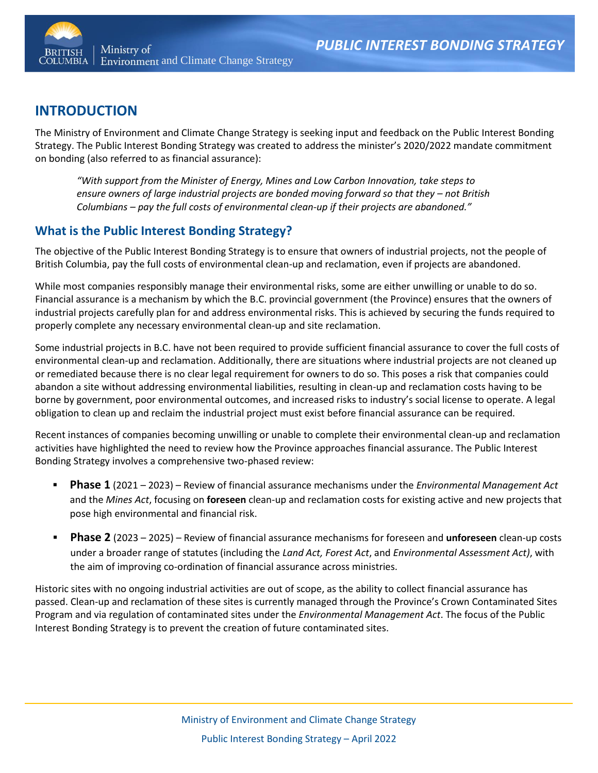

# **INTRODUCTION**

The Ministry of Environment and Climate Change Strategy is seeking input and feedback on the Public Interest Bonding Strategy. The Public Interest Bonding Strategy was created to address the minister's 2020/2022 mandate commitment on bonding (also referred to as financial assurance):

*"With support from the Minister of Energy, Mines and Low Carbon Innovation, take steps to ensure owners of large industrial projects are bonded moving forward so that they – not British Columbians – pay the full costs of environmental clean-up if their projects are abandoned."*

## **What is the Public Interest Bonding Strategy?**

The objective of the Public Interest Bonding Strategy is to ensure that owners of industrial projects, not the people of British Columbia, pay the full costs of environmental clean-up and reclamation, even if projects are abandoned.

While most companies responsibly manage their environmental risks, some are either unwilling or unable to do so. Financial assurance is a mechanism by which the B.C. provincial government (the Province) ensures that the owners of industrial projects carefully plan for and address environmental risks. This is achieved by securing the funds required to properly complete any necessary environmental clean-up and site reclamation.

Some industrial projects in B.C. have not been required to provide sufficient financial assurance to cover the full costs of environmental clean-up and reclamation. Additionally, there are situations where industrial projects are not cleaned up or remediated because there is no clear legal requirement for owners to do so. This poses a risk that companies could abandon a site without addressing environmental liabilities, resulting in clean-up and reclamation costs having to be borne by government, poor environmental outcomes, and increased risks to industry's social license to operate. A legal obligation to clean up and reclaim the industrial project must exist before financial assurance can be required.

Recent instances of companies becoming unwilling or unable to complete their environmental clean-up and reclamation activities have highlighted the need to review how the Province approaches financial assurance. The Public Interest Bonding Strategy involves a comprehensive two-phased review:

- **Phase 1** (2021 2023) Review of financial assurance mechanisms under the *Environmental Management Act*  and the *Mines Act*, focusing on **foreseen** clean-up and reclamation costs for existing active and new projects that pose high environmental and financial risk.
- **Phase 2** (2023 2025) Review of financial assurance mechanisms for foreseen and **unforeseen** clean-up costs under a broader range of statutes (including the *Land Act, Forest Act*, and *Environmental Assessment Act)*, with the aim of improving co-ordination of financial assurance across ministries.

Historic sites with no ongoing industrial activities are out of scope, as the ability to collect financial assurance has passed. Clean-up and reclamation of these sites is currently managed through the Province's Crown Contaminated Sites Program and via regulation of contaminated sites under the *Environmental Management Act*. The focus of the Public Interest Bonding Strategy is to prevent the creation of future contaminated sites.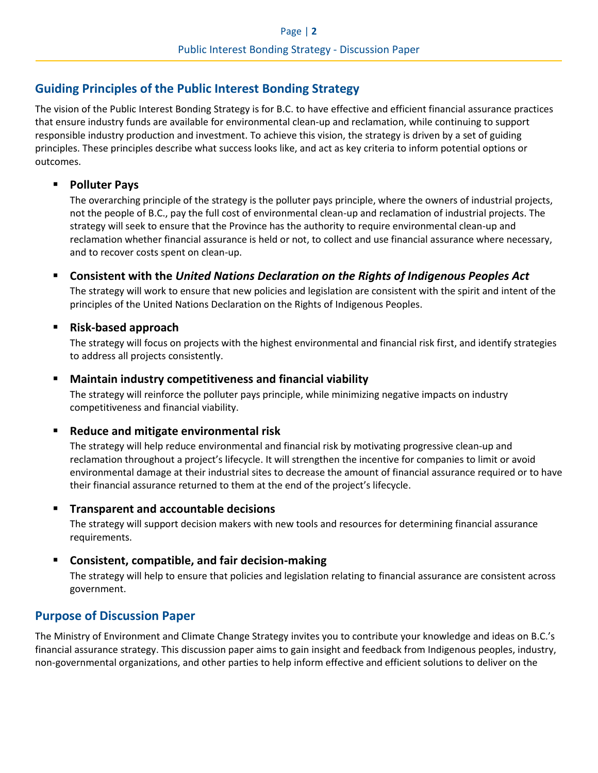## <span id="page-1-0"></span>**Guiding Principles of the Public Interest Bonding Strategy**

The vision of the Public Interest Bonding Strategy is for B.C. to have effective and efficient financial assurance practices that ensure industry funds are available for environmental clean-up and reclamation, while continuing to support responsible industry production and investment. To achieve this vision, the strategy is driven by a set of guiding principles. These principles describe what success looks like, and act as key criteria to inform potential options or outcomes.

### ▪ **Polluter Pays**

The overarching principle of the strategy is the polluter pays principle, where the owners of industrial projects, not the people of B.C., pay the full cost of environmental clean-up and reclamation of industrial projects. The strategy will seek to ensure that the Province has the authority to require environmental clean-up and reclamation whether financial assurance is held or not, to collect and use financial assurance where necessary, and to recover costs spent on clean-up.

▪ **Consistent with the** *United Nations Declaration on the Rights of Indigenous Peoples Act* The strategy will work to ensure that new policies and legislation are consistent with the spirit and intent of the principles of the United Nations Declaration on the Rights of Indigenous Peoples.

### ▪ **Risk-based approach**

The strategy will focus on projects with the highest environmental and financial risk first, and identify strategies to address all projects consistently.

### ▪ **Maintain industry competitiveness and financial viability**

The strategy will reinforce the polluter pays principle, while minimizing negative impacts on industry competitiveness and financial viability.

### **Reduce and mitigate environmental risk**

The strategy will help reduce environmental and financial risk by motivating progressive clean-up and reclamation throughout a project's lifecycle. It will strengthen the incentive for companies to limit or avoid environmental damage at their industrial sites to decrease the amount of financial assurance required or to have their financial assurance returned to them at the end of the project's lifecycle.

### **Transparent and accountable decisions**

The strategy will support decision makers with new tools and resources for determining financial assurance requirements.

### **Consistent, compatible, and fair decision-making**

The strategy will help to ensure that policies and legislation relating to financial assurance are consistent across government.

## **Purpose of Discussion Paper**

The Ministry of Environment and Climate Change Strategy invites you to contribute your knowledge and ideas on B.C.'s financial assurance strategy. This discussion paper aims to gain insight and feedback from Indigenous peoples, industry, non-governmental organizations, and other parties to help inform effective and efficient solutions to deliver on the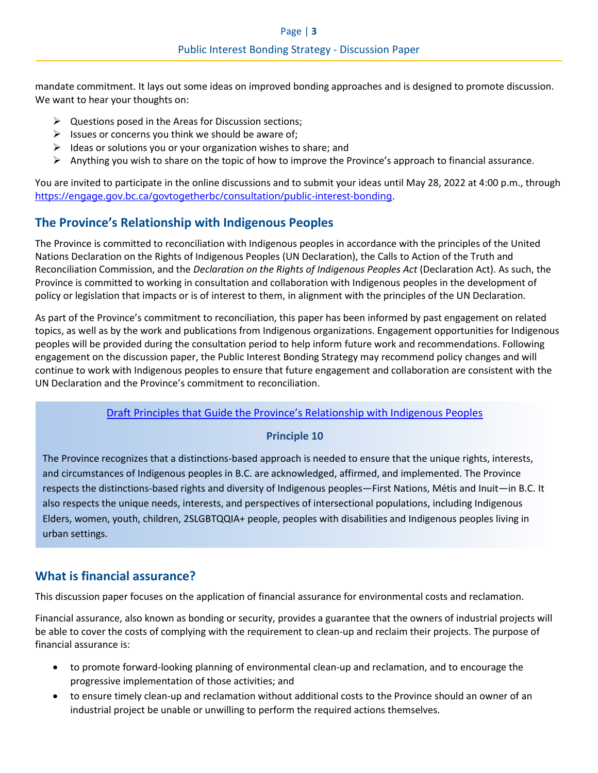mandate commitment. It lays out some ideas on improved bonding approaches and is designed to promote discussion. We want to hear your thoughts on:

- $\triangleright$  Questions posed in the Areas for Discussion sections;
- $\triangleright$  Issues or concerns you think we should be aware of;
- $\triangleright$  Ideas or solutions you or your organization wishes to share; and
- $\triangleright$  Anything you wish to share on the topic of how to improve the Province's approach to financial assurance.

You are invited to participate in the online discussions and to submit your ideas until May 28, 2022 at 4:00 p.m., through <https://engage.gov.bc.ca/govtogetherbc/consultation/public-interest-bonding>.

# **The Province's Relationship with Indigenous Peoples**

The Province is committed to reconciliation with Indigenous peoples in accordance with the principles of the United Nations Declaration on the Rights of Indigenous Peoples (UN Declaration), the Calls to Action of the Truth and Reconciliation Commission, and the *Declaration on the Rights of Indigenous Peoples Act* (Declaration Act). As such, the Province is committed to working in consultation and collaboration with Indigenous peoples in the development of policy or legislation that impacts or is of interest to them, in alignment with the principles of the UN Declaration.

As part of the Province's commitment to reconciliation, this paper has been informed by past engagement on related topics, as well as by the work and publications from Indigenous organizations. Engagement opportunities for Indigenous peoples will be provided during the consultation period to help inform future work and recommendations. Following engagement on the discussion paper, the Public Interest Bonding Strategy may recommend policy changes and will continue to work with Indigenous peoples to ensure that future engagement and collaboration are consistent with the UN Declaration and the Province's commitment to reconciliation.

### [Draft Principles that Guide the Province's Relationship with Indigenous Peoples](https://www2.gov.bc.ca/assets/gov/careers/about-the-bc-public-service/diversity-inclusion-respect/draft_principles.pdf)

### **Principle 10**

The Province recognizes that a distinctions-based approach is needed to ensure that the unique rights, interests, and circumstances of Indigenous peoples in B.C. are acknowledged, affirmed, and implemented. The Province respects the distinctions-based rights and diversity of Indigenous peoples—First Nations, Métis and Inuit—in B.C. It also respects the unique needs, interests, and perspectives of intersectional populations, including Indigenous Elders, women, youth, children, 2SLGBTQQIA+ people, peoples with disabilities and Indigenous peoples living in urban settings.

## **What is financial assurance?**

This discussion paper focuses on the application of financial assurance for environmental costs and reclamation.

Financial assurance, also known as bonding or security, provides a guarantee that the owners of industrial projects will be able to cover the costs of complying with the requirement to clean-up and reclaim their projects. The purpose of financial assurance is:

- to promote forward-looking planning of environmental clean-up and reclamation, and to encourage the progressive implementation of those activities; and
- to ensure timely clean-up and reclamation without additional costs to the Province should an owner of an industrial project be unable or unwilling to perform the required actions themselves.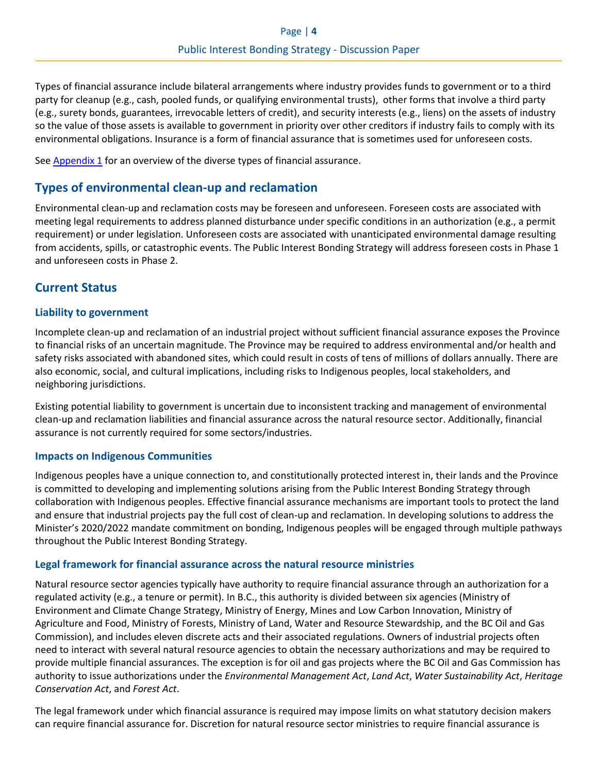Types of financial assurance include bilateral arrangements where industry provides funds to government or to a third party for cleanup (e.g., cash, pooled funds, or qualifying environmental trusts), other forms that involve a third party (e.g., surety bonds, guarantees, irrevocable letters of credit), and security interests (e.g., liens) on the assets of industry so the value of those assets is available to government in priority over other creditors if industry fails to comply with its environmental obligations. Insurance is a form of financial assurance that is sometimes used for unforeseen costs.

See **Appendix 1** for an overview of the diverse types of financial assurance.

### **Types of environmental clean-up and reclamation**

Environmental clean-up and reclamation costs may be foreseen and unforeseen. Foreseen costs are associated with meeting legal requirements to address planned disturbance under specific conditions in an authorization (e.g., a permit requirement) or under legislation. Unforeseen costs are associated with unanticipated environmental damage resulting from accidents, spills, or catastrophic events. The Public Interest Bonding Strategy will address foreseen costs in Phase 1 and unforeseen costs in Phase 2.

### **Current Status**

### **Liability to government**

Incomplete clean-up and reclamation of an industrial project without sufficient financial assurance exposes the Province to financial risks of an uncertain magnitude. The Province may be required to address environmental and/or health and safety risks associated with abandoned sites, which could result in costs of tens of millions of dollars annually. There are also economic, social, and cultural implications, including risks to Indigenous peoples, local stakeholders, and neighboring jurisdictions.

Existing potential liability to government is uncertain due to inconsistent tracking and management of environmental clean-up and reclamation liabilities and financial assurance across the natural resource sector. Additionally, financial assurance is not currently required for some sectors/industries.

### **Impacts on Indigenous Communities**

Indigenous peoples have a unique connection to, and constitutionally protected interest in, their lands and the Province is committed to developing and implementing solutions arising from the Public Interest Bonding Strategy through collaboration with Indigenous peoples. Effective financial assurance mechanisms are important tools to protect the land and ensure that industrial projects pay the full cost of clean-up and reclamation. In developing solutions to address the Minister's 2020/2022 mandate commitment on bonding, Indigenous peoples will be engaged through multiple pathways throughout the Public Interest Bonding Strategy.

### **Legal framework for financial assurance across the natural resource ministries**

Natural resource sector agencies typically have authority to require financial assurance through an authorization for a regulated activity (e.g., a tenure or permit). In B.C., this authority is divided between six agencies (Ministry of Environment and Climate Change Strategy, Ministry of Energy, Mines and Low Carbon Innovation, Ministry of Agriculture and Food, Ministry of Forests, Ministry of Land, Water and Resource Stewardship, and the BC Oil and Gas Commission), and includes eleven discrete acts and their associated regulations. Owners of industrial projects often need to interact with several natural resource agencies to obtain the necessary authorizations and may be required to provide multiple financial assurances. The exception is for oil and gas projects where the BC Oil and Gas Commission has authority to issue authorizations under the *Environmental Management Act*, *Land Act*, *Water Sustainability Act*, *Heritage Conservation Act*, and *Forest Act*.

The legal framework under which financial assurance is required may impose limits on what statutory decision makers can require financial assurance for. Discretion for natural resource sector ministries to require financial assurance is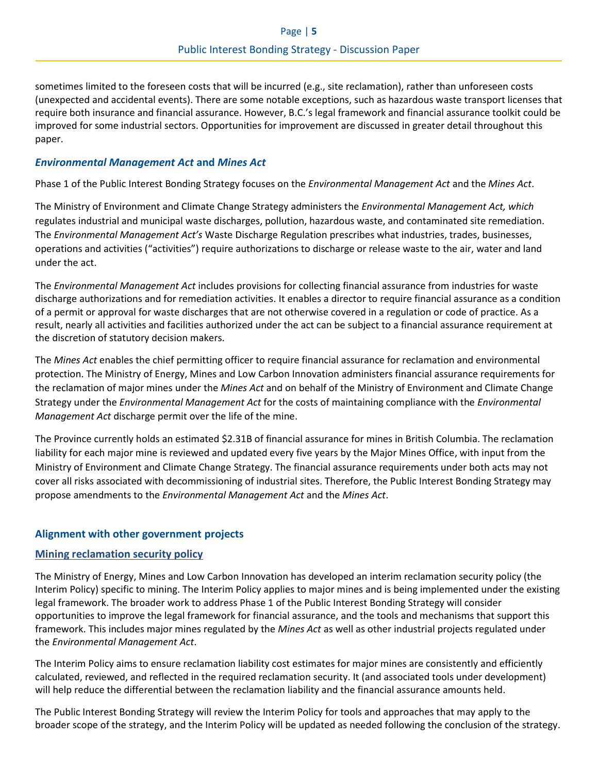sometimes limited to the foreseen costs that will be incurred (e.g., site reclamation), rather than unforeseen costs (unexpected and accidental events). There are some notable exceptions, such as hazardous waste transport licenses that require both insurance and financial assurance. However, B.C.'s legal framework and financial assurance toolkit could be improved for some industrial sectors. Opportunities for improvement are discussed in greater detail throughout this paper.

### *Environmental Management Act* **and** *Mines Act*

Phase 1 of the Public Interest Bonding Strategy focuses on the *Environmental Management Act* and the *Mines Act*.

The Ministry of Environment and Climate Change Strategy administers the *Environmental Management Act, which* regulates industrial and municipal waste discharges, pollution, hazardous waste, and contaminated site remediation. The *Environmental Management Act's* Waste Discharge Regulation prescribes what industries, trades, businesses, operations and activities ("activities") require authorizations to discharge or release waste to the air, water and land under the act.

The *Environmental Management Act* includes provisions for collecting financial assurance from industries for waste discharge authorizations and for remediation activities. It enables a director to require financial assurance as a condition of a permit or approval for waste discharges that are not otherwise covered in a regulation or code of practice. As a result, nearly all activities and facilities authorized under the act can be subject to a financial assurance requirement at the discretion of statutory decision makers.

The *Mines Act* enables the chief permitting officer to require financial assurance for reclamation and environmental protection. The Ministry of Energy, Mines and Low Carbon Innovation administers financial assurance requirements for the reclamation of major mines under the *Mines Act* and on behalf of the Ministry of Environment and Climate Change Strategy under the *Environmental Management Act* for the costs of maintaining compliance with the *Environmental Management Act* discharge permit over the life of the mine.

The Province currently holds an estimated \$2.31B of financial assurance for mines in British Columbia. The reclamation liability for each major mine is reviewed and updated every five years by the Major Mines Office, with input from the Ministry of Environment and Climate Change Strategy. The financial assurance requirements under both acts may not cover all risks associated with decommissioning of industrial sites. Therefore, the Public Interest Bonding Strategy may propose amendments to the *Environmental Management Act* and the *Mines Act*.

### **Alignment with other government projects**

### **[Mining reclamation security policy](https://www2.gov.bc.ca/gov/content/industry/mineral-exploration-mining/permitting/reclamation-closure/securities)**

The Ministry of Energy, Mines and Low Carbon Innovation has developed an interim reclamation security policy (the Interim Policy) specific to mining. The Interim Policy applies to major mines and is being implemented under the existing legal framework. The broader work to address Phase 1 of the Public Interest Bonding Strategy will consider opportunities to improve the legal framework for financial assurance, and the tools and mechanisms that support this framework. This includes major mines regulated by the *Mines Act* as well as other industrial projects regulated under the *Environmental Management Act*.

The Interim Policy aims to ensure reclamation liability cost estimates for major mines are consistently and efficiently calculated, reviewed, and reflected in the required reclamation security. It (and associated tools under development) will help reduce the differential between the reclamation liability and the financial assurance amounts held.

The Public Interest Bonding Strategy will review the Interim Policy for tools and approaches that may apply to the broader scope of the strategy, and the Interim Policy will be updated as needed following the conclusion of the strategy.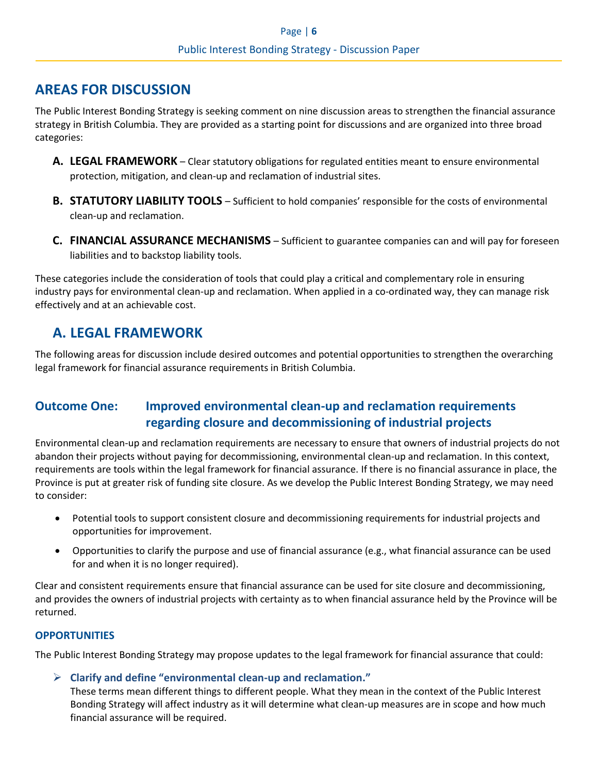# **AREAS FOR DISCUSSION**

The Public Interest Bonding Strategy is seeking comment on nine discussion areas to strengthen the financial assurance strategy in British Columbia. They are provided as a starting point for discussions and are organized into three broad categories:

- **A. LEGAL FRAMEWORK** Clear statutory obligations for regulated entities meant to ensure environmental protection, mitigation, and clean-up and reclamation of industrial sites.
- **B. STATUTORY LIABILITY TOOLS** Sufficient to hold companies' responsible for the costs of environmental clean-up and reclamation.
- **C. FINANCIAL ASSURANCE MECHANISMS** Sufficient to guarantee companies can and will pay for foreseen liabilities and to backstop liability tools.

These categories include the consideration of tools that could play a critical and complementary role in ensuring industry pays for environmental clean-up and reclamation. When applied in a co-ordinated way, they can manage risk effectively and at an achievable cost.

# **A. LEGAL FRAMEWORK**

The following areas for discussion include desired outcomes and potential opportunities to strengthen the overarching legal framework for financial assurance requirements in British Columbia.

# **Outcome One: Improved environmental clean-up and reclamation requirements regarding closure and decommissioning of industrial projects**

Environmental clean-up and reclamation requirements are necessary to ensure that owners of industrial projects do not abandon their projects without paying for decommissioning, environmental clean-up and reclamation. In this context, requirements are tools within the legal framework for financial assurance. If there is no financial assurance in place, the Province is put at greater risk of funding site closure. As we develop the Public Interest Bonding Strategy, we may need to consider:

- Potential tools to support consistent closure and decommissioning requirements for industrial projects and opportunities for improvement.
- Opportunities to clarify the purpose and use of financial assurance (e.g., what financial assurance can be used for and when it is no longer required).

Clear and consistent requirements ensure that financial assurance can be used for site closure and decommissioning, and provides the owners of industrial projects with certainty as to when financial assurance held by the Province will be returned.

### **OPPORTUNITIES**

The Public Interest Bonding Strategy may propose updates to the legal framework for financial assurance that could:

➢ **Clarify and define "environmental clean-up and reclamation."**

These terms mean different things to different people. What they mean in the context of the Public Interest Bonding Strategy will affect industry as it will determine what clean-up measures are in scope and how much financial assurance will be required.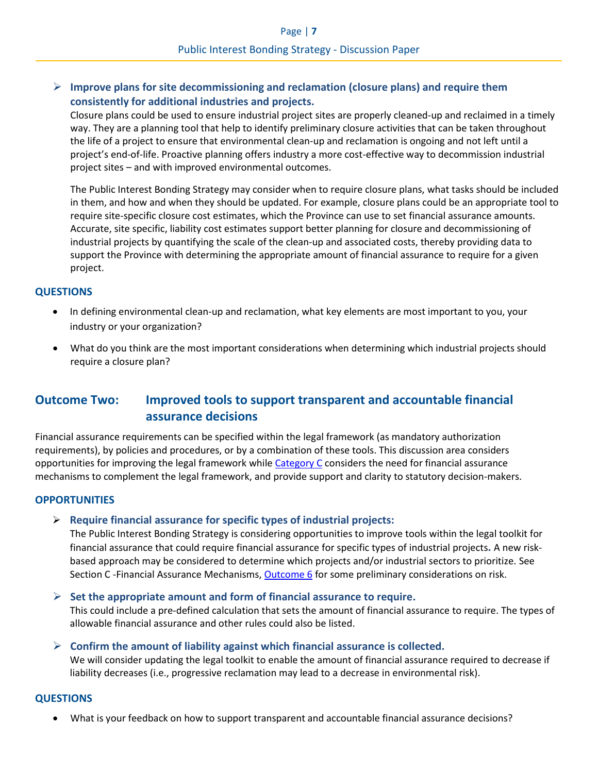### ➢ **Improve plans for site decommissioning and reclamation (closure plans) and require them consistently for additional industries and projects.**

Closure plans could be used to ensure industrial project sites are properly cleaned-up and reclaimed in a timely way. They are a planning tool that help to identify preliminary closure activities that can be taken throughout the life of a project to ensure that environmental clean-up and reclamation is ongoing and not left until a project's end-of-life. Proactive planning offers industry a more cost-effective way to decommission industrial project sites – and with improved environmental outcomes.

The Public Interest Bonding Strategy may consider when to require closure plans, what tasks should be included in them, and how and when they should be updated. For example, closure plans could be an appropriate tool to require site-specific closure cost estimates, which the Province can use to set financial assurance amounts. Accurate, site specific, liability cost estimates support better planning for closure and decommissioning of industrial projects by quantifying the scale of the clean-up and associated costs, thereby providing data to support the Province with determining the appropriate amount of financial assurance to require for a given project.

### **QUESTIONS**

- In defining environmental clean-up and reclamation, what key elements are most important to you, your industry or your organization?
- What do you think are the most important considerations when determining which industrial projects should require a closure plan?

# **Outcome Two: Improved tools to support transparent and accountable financial assurance decisions**

Financial assurance requirements can be specified within the legal framework (as mandatory authorization requirements), by policies and procedures, or by a combination of these tools. This discussion area considers opportunities for improving the legal framework whil[e Category C](#page-9-0) considers the need for financial assurance mechanisms to complement the legal framework, and provide support and clarity to statutory decision-makers.

### **OPPORTUNITIES**

### ➢ **Require financial assurance for specific types of industrial projects:**

The Public Interest Bonding Strategy is considering opportunities to improve tools within the legal toolkit for financial assurance that could require financial assurance for specific types of industrial projects**.** A new riskbased approach may be considered to determine which projects and/or industrial sectors to prioritize. See Section C -Financial Assurance Mechanisms, Outcome 6 for some preliminary considerations on risk.

➢ **Set the appropriate amount and form of financial assurance to require.**

This could include a pre-defined calculation that sets the amount of financial assurance to require. The types of allowable financial assurance and other rules could also be listed.

### ➢ **Confirm the amount of liability against which financial assurance is collected.**

We will consider updating the legal toolkit to enable the amount of financial assurance required to decrease if liability decreases (i.e., progressive reclamation may lead to a decrease in environmental risk).

### **QUESTIONS**

• What is your feedback on how to support transparent and accountable financial assurance decisions?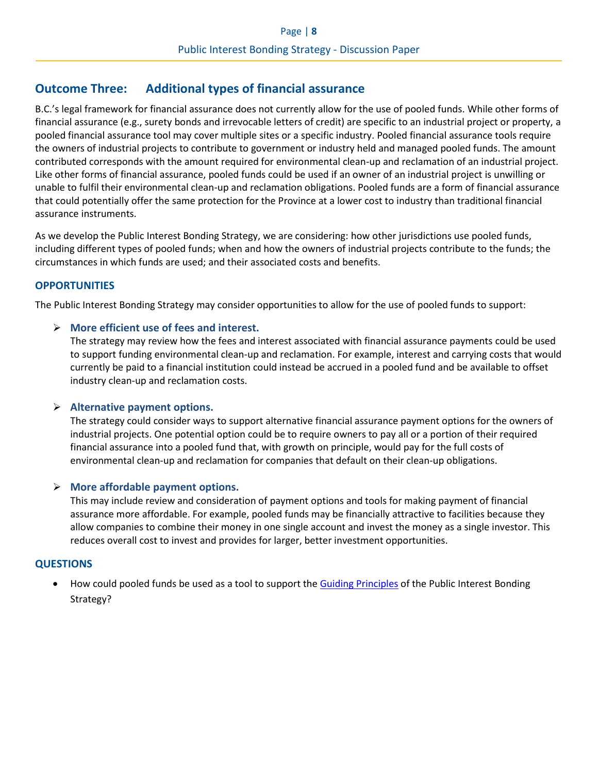## **Outcome Three: Additional types of financial assurance**

B.C.'s legal framework for financial assurance does not currently allow for the use of pooled funds. While other forms of financial assurance (e.g., surety bonds and irrevocable letters of credit) are specific to an industrial project or property, a pooled financial assurance tool may cover multiple sites or a specific industry. Pooled financial assurance tools require the owners of industrial projects to contribute to government or industry held and managed pooled funds. The amount contributed corresponds with the amount required for environmental clean-up and reclamation of an industrial project. Like other forms of financial assurance, pooled funds could be used if an owner of an industrial project is unwilling or unable to fulfil their environmental clean-up and reclamation obligations. Pooled funds are a form of financial assurance that could potentially offer the same protection for the Province at a lower cost to industry than traditional financial assurance instruments.

As we develop the Public Interest Bonding Strategy, we are considering: how other jurisdictions use pooled funds, including different types of pooled funds; when and how the owners of industrial projects contribute to the funds; the circumstances in which funds are used; and their associated costs and benefits.

### **OPPORTUNITIES**

The Public Interest Bonding Strategy may consider opportunities to allow for the use of pooled funds to support:

### ➢ **More efficient use of fees and interest.**

The strategy may review how the fees and interest associated with financial assurance payments could be used to support funding environmental clean-up and reclamation. For example, interest and carrying costs that would currently be paid to a financial institution could instead be accrued in a pooled fund and be available to offset industry clean-up and reclamation costs.

### ➢ **Alternative payment options.**

The strategy could consider ways to support alternative financial assurance payment options for the owners of industrial projects. One potential option could be to require owners to pay all or a portion of their required financial assurance into a pooled fund that, with growth on principle, would pay for the full costs of environmental clean-up and reclamation for companies that default on their clean-up obligations.

### ➢ **More affordable payment options.**

This may include review and consideration of payment options and tools for making payment of financial assurance more affordable. For example, pooled funds may be financially attractive to facilities because they allow companies to combine their money in one single account and invest the money as a single investor. This reduces overall cost to invest and provides for larger, better investment opportunities.

### **QUESTIONS**

• How could pooled funds be used as a tool to support th[e Guiding Principles](#page-1-0) of the Public Interest Bonding Strategy?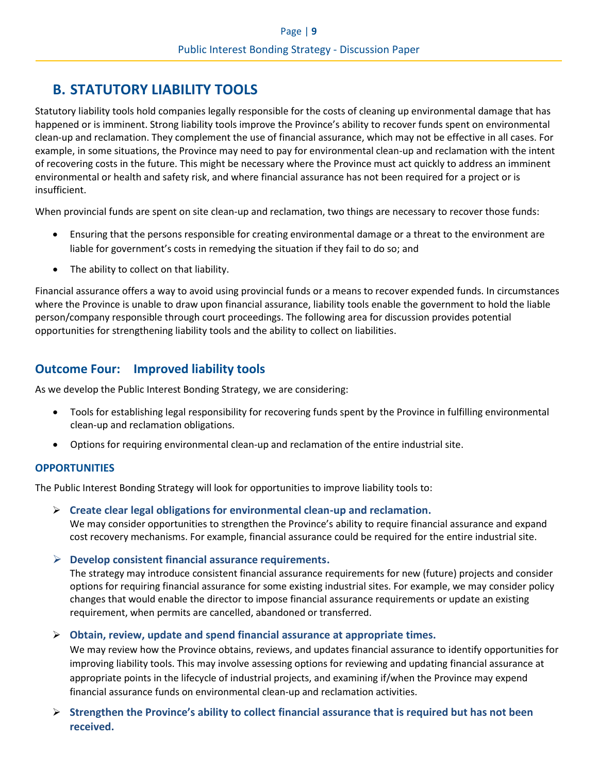# **B. STATUTORY LIABILITY TOOLS**

Statutory liability tools hold companies legally responsible for the costs of cleaning up environmental damage that has happened or is imminent. Strong liability tools improve the Province's ability to recover funds spent on environmental clean-up and reclamation. They complement the use of financial assurance, which may not be effective in all cases. For example, in some situations, the Province may need to pay for environmental clean-up and reclamation with the intent of recovering costs in the future. This might be necessary where the Province must act quickly to address an imminent environmental or health and safety risk, and where financial assurance has not been required for a project or is insufficient.

When provincial funds are spent on site clean-up and reclamation, two things are necessary to recover those funds:

- Ensuring that the persons responsible for creating environmental damage or a threat to the environment are liable for government's costs in remedying the situation if they fail to do so; and
- The ability to collect on that liability.

Financial assurance offers a way to avoid using provincial funds or a means to recover expended funds. In circumstances where the Province is unable to draw upon financial assurance, liability tools enable the government to hold the liable person/company responsible through court proceedings. The following area for discussion provides potential opportunities for strengthening liability tools and the ability to collect on liabilities.

# **Outcome Four: Improved liability tools**

As we develop the Public Interest Bonding Strategy, we are considering:

- Tools for establishing legal responsibility for recovering funds spent by the Province in fulfilling environmental clean-up and reclamation obligations.
- Options for requiring environmental clean-up and reclamation of the entire industrial site.

### **OPPORTUNITIES**

The Public Interest Bonding Strategy will look for opportunities to improve liability tools to:

- ➢ **Create clear legal obligations for environmental clean-up and reclamation.** We may consider opportunities to strengthen the Province's ability to require financial assurance and expand cost recovery mechanisms. For example, financial assurance could be required for the entire industrial site.
- ➢ **Develop consistent financial assurance requirements.**

The strategy may introduce consistent financial assurance requirements for new (future) projects and consider options for requiring financial assurance for some existing industrial sites. For example, we may consider policy changes that would enable the director to impose financial assurance requirements or update an existing requirement, when permits are cancelled, abandoned or transferred.

➢ **Obtain, review, update and spend financial assurance at appropriate times.**

We may review how the Province obtains, reviews, and updates financial assurance to identify opportunities for improving liability tools. This may involve assessing options for reviewing and updating financial assurance at appropriate points in the lifecycle of industrial projects, and examining if/when the Province may expend financial assurance funds on environmental clean-up and reclamation activities.

➢ **Strengthen the Province's ability to collect financial assurance that is required but has not been received.**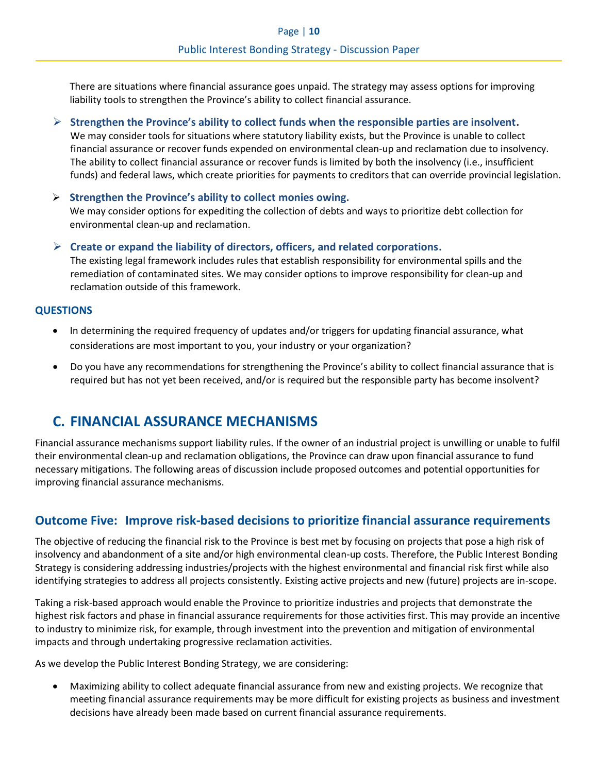There are situations where financial assurance goes unpaid. The strategy may assess options for improving liability tools to strengthen the Province's ability to collect financial assurance.

- ➢ **Strengthen the Province's ability to collect funds when the responsible parties are insolvent.** We may consider tools for situations where statutory liability exists, but the Province is unable to collect financial assurance or recover funds expended on environmental clean-up and reclamation due to insolvency. The ability to collect financial assurance or recover funds is limited by both the insolvency (i.e., insufficient funds) and federal laws, which create priorities for payments to creditors that can override provincial legislation.
- ➢ **Strengthen the Province's ability to collect monies owing.** We may consider options for expediting the collection of debts and ways to prioritize debt collection for environmental clean-up and reclamation.
- ➢ **Create or expand the liability of directors, officers, and related corporations.** The existing legal framework includes rules that establish responsibility for environmental spills and the remediation of contaminated sites. We may consider options to improve responsibility for clean-up and reclamation outside of this framework.

### **QUESTIONS**

- In determining the required frequency of updates and/or triggers for updating financial assurance, what considerations are most important to you, your industry or your organization?
- Do you have any recommendations for strengthening the Province's ability to collect financial assurance that is required but has not yet been received, and/or is required but the responsible party has become insolvent?

# <span id="page-9-0"></span>**C. FINANCIAL ASSURANCE MECHANISMS**

Financial assurance mechanisms support liability rules. If the owner of an industrial project is unwilling or unable to fulfil their environmental clean-up and reclamation obligations, the Province can draw upon financial assurance to fund necessary mitigations. The following areas of discussion include proposed outcomes and potential opportunities for improving financial assurance mechanisms.

### **Outcome Five: Improve risk-based decisions to prioritize financial assurance requirements**

The objective of reducing the financial risk to the Province is best met by focusing on projects that pose a high risk of insolvency and abandonment of a site and/or high environmental clean-up costs. Therefore, the Public Interest Bonding Strategy is considering addressing industries/projects with the highest environmental and financial risk first while also identifying strategies to address all projects consistently. Existing active projects and new (future) projects are in-scope.

Taking a risk-based approach would enable the Province to prioritize industries and projects that demonstrate the highest risk factors and phase in financial assurance requirements for those activities first. This may provide an incentive to industry to minimize risk, for example, through investment into the prevention and mitigation of environmental impacts and through undertaking progressive reclamation activities.

As we develop the Public Interest Bonding Strategy, we are considering:

• Maximizing ability to collect adequate financial assurance from new and existing projects. We recognize that meeting financial assurance requirements may be more difficult for existing projects as business and investment decisions have already been made based on current financial assurance requirements.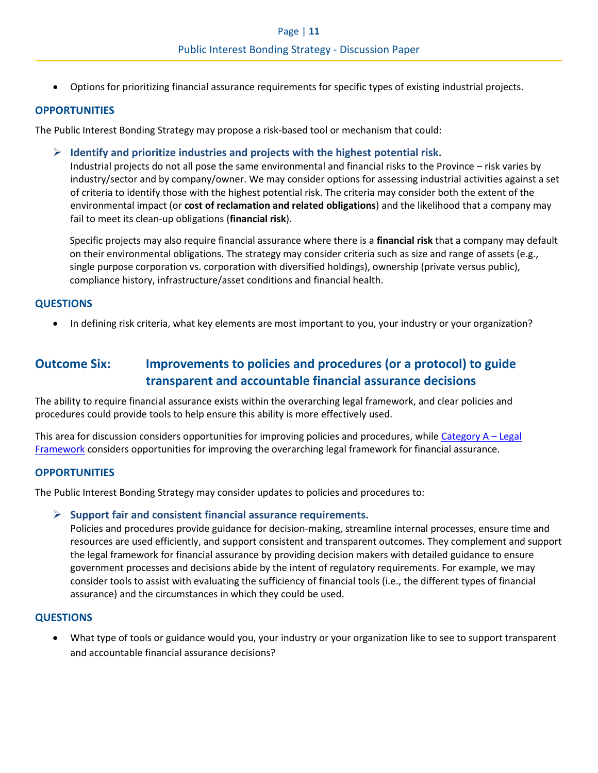• Options for prioritizing financial assurance requirements for specific types of existing industrial projects.

### **OPPORTUNITIES**

The Public Interest Bonding Strategy may propose a risk-based tool or mechanism that could:

➢ **Identify and prioritize industries and projects with the highest potential risk.**

Industrial projects do not all pose the same environmental and financial risks to the Province – risk varies by industry/sector and by company/owner. We may consider options for assessing industrial activities against a set of criteria to identify those with the highest potential risk. The criteria may consider both the extent of the environmental impact (or **cost of reclamation and related obligations**) and the likelihood that a company may fail to meet its clean-up obligations (**financial risk**).

Specific projects may also require financial assurance where there is a **financial risk** that a company may default on their environmental obligations. The strategy may consider criteria such as size and range of assets (e.g., single purpose corporation vs. corporation with diversified holdings), ownership (private versus public), compliance history, infrastructure/asset conditions and financial health.

### **QUESTIONS**

• In defining risk criteria, what key elements are most important to you, your industry or your organization?

## **Outcome Six: Improvements to policies and procedures (or a protocol) to guide transparent and accountable financial assurance decisions**

The ability to require financial assurance exists within the overarching legal framework, and clear policies and procedures could provide tools to help ensure this ability is more effectively used.

This area for discussion considers opportunities for improving policies and procedures, while Category A – Legal Framework considers opportunities for improving the overarching legal framework for financial assurance.

### **OPPORTUNITIES**

The Public Interest Bonding Strategy may consider updates to policies and procedures to:

### ➢ **Support fair and consistent financial assurance requirements.**

Policies and procedures provide guidance for decision-making, streamline internal processes, ensure time and resources are used efficiently, and support consistent and transparent outcomes. They complement and support the legal framework for financial assurance by providing decision makers with detailed guidance to ensure government processes and decisions abide by the intent of regulatory requirements. For example, we may consider tools to assist with evaluating the sufficiency of financial tools (i.e., the different types of financial assurance) and the circumstances in which they could be used.

### **QUESTIONS**

• What type of tools or guidance would you, your industry or your organization like to see to support transparent and accountable financial assurance decisions?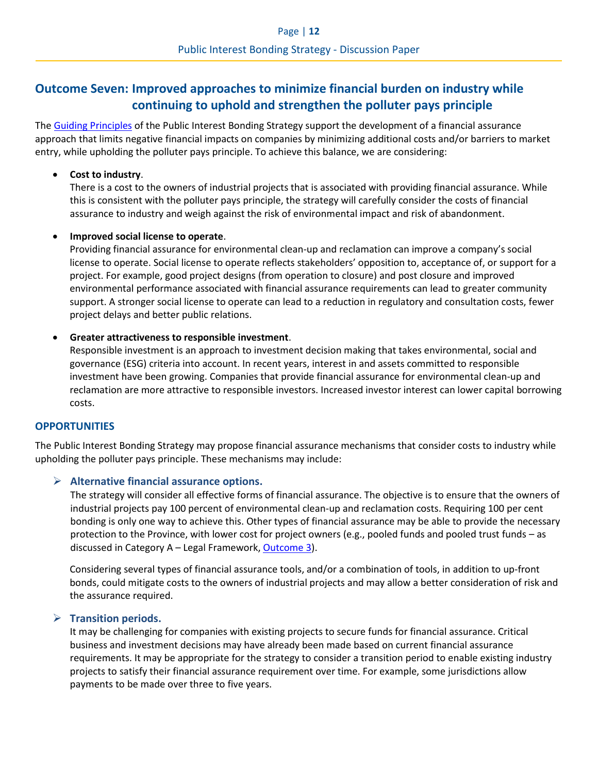# **Outcome Seven: Improved approaches to minimize financial burden on industry while continuing to uphold and strengthen the polluter pays principle**

The [Guiding Principles](#page-1-0) of the Public Interest Bonding Strategy support the development of a financial assurance approach that limits negative financial impacts on companies by minimizing additional costs and/or barriers to market entry, while upholding the polluter pays principle. To achieve this balance, we are considering:

### • **Cost to industry**.

There is a cost to the owners of industrial projects that is associated with providing financial assurance. While this is consistent with the polluter pays principle, the strategy will carefully consider the costs of financial assurance to industry and weigh against the risk of environmental impact and risk of abandonment.

### • **Improved social license to operate**.

Providing financial assurance for environmental clean-up and reclamation can improve a company's social license to operate. Social license to operate reflects stakeholders' opposition to, acceptance of, or support for a project. For example, good project designs (from operation to closure) and post closure and improved environmental performance associated with financial assurance requirements can lead to greater community support. A stronger social license to operate can lead to a reduction in regulatory and consultation costs, fewer project delays and better public relations.

### • **Greater attractiveness to responsible investment**.

Responsible investment is an approach to investment decision making that takes environmental, social and governance (ESG) criteria into account. In recent years, interest in and assets committed to responsible investment have been growing. Companies that provide financial assurance for environmental clean-up and reclamation are more attractive to responsible investors. Increased investor interest can lower capital borrowing costs.

### **OPPORTUNITIES**

The Public Interest Bonding Strategy may propose financial assurance mechanisms that consider costs to industry while upholding the polluter pays principle. These mechanisms may include:

### ➢ **Alternative financial assurance options.**

The strategy will consider all effective forms of financial assurance. The objective is to ensure that the owners of industrial projects pay 100 percent of environmental clean-up and reclamation costs. Requiring 100 per cent bonding is only one way to achieve this. Other types of financial assurance may be able to provide the necessary protection to the Province, with lower cost for project owners (e.g., pooled funds and pooled trust funds – as discussed in Category A – Legal Framework, Outcome 3).

Considering several types of financial assurance tools, and/or a combination of tools, in addition to up-front bonds, could mitigate costs to the owners of industrial projects and may allow a better consideration of risk and the assurance required.

### ➢ **Transition periods.**

It may be challenging for companies with existing projects to secure funds for financial assurance. Critical business and investment decisions may have already been made based on current financial assurance requirements. It may be appropriate for the strategy to consider a transition period to enable existing industry projects to satisfy their financial assurance requirement over time. For example, some jurisdictions allow payments to be made over three to five years.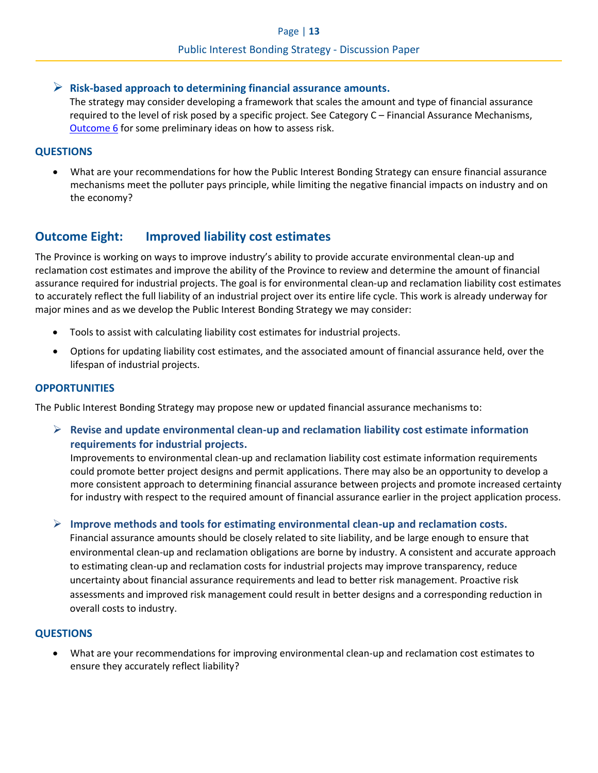### ➢ **Risk-based approach to determining financial assurance amounts.**

The strategy may consider developing a framework that scales the amount and type of financial assurance required to the level of risk posed by a specific project. See Category C – Financial Assurance Mechanisms, Outcome 6 for some preliminary ideas on how to assess risk.

### **QUESTIONS**

• What are your recommendations for how the Public Interest Bonding Strategy can ensure financial assurance mechanisms meet the polluter pays principle, while limiting the negative financial impacts on industry and on the economy?

## **Outcome Eight: Improved liability cost estimates**

The Province is working on ways to improve industry's ability to provide accurate environmental clean-up and reclamation cost estimates and improve the ability of the Province to review and determine the amount of financial assurance required for industrial projects. The goal is for environmental clean-up and reclamation liability cost estimates to accurately reflect the full liability of an industrial project over its entire life cycle. This work is already underway for major mines and as we develop the Public Interest Bonding Strategy we may consider:

- Tools to assist with calculating liability cost estimates for industrial projects.
- Options for updating liability cost estimates, and the associated amount of financial assurance held, over the lifespan of industrial projects.

### **OPPORTUNITIES**

The Public Interest Bonding Strategy may propose new or updated financial assurance mechanisms to:

➢ **Revise and update environmental clean-up and reclamation liability cost estimate information requirements for industrial projects.**

Improvements to environmental clean-up and reclamation liability cost estimate information requirements could promote better project designs and permit applications. There may also be an opportunity to develop a more consistent approach to determining financial assurance between projects and promote increased certainty for industry with respect to the required amount of financial assurance earlier in the project application process.

### ➢ **Improve methods and tools for estimating environmental clean-up and reclamation costs.**

Financial assurance amounts should be closely related to site liability, and be large enough to ensure that environmental clean-up and reclamation obligations are borne by industry. A consistent and accurate approach to estimating clean-up and reclamation costs for industrial projects may improve transparency, reduce uncertainty about financial assurance requirements and lead to better risk management. Proactive risk assessments and improved risk management could result in better designs and a corresponding reduction in overall costs to industry.

### **QUESTIONS**

• What are your recommendations for improving environmental clean-up and reclamation cost estimates to ensure they accurately reflect liability?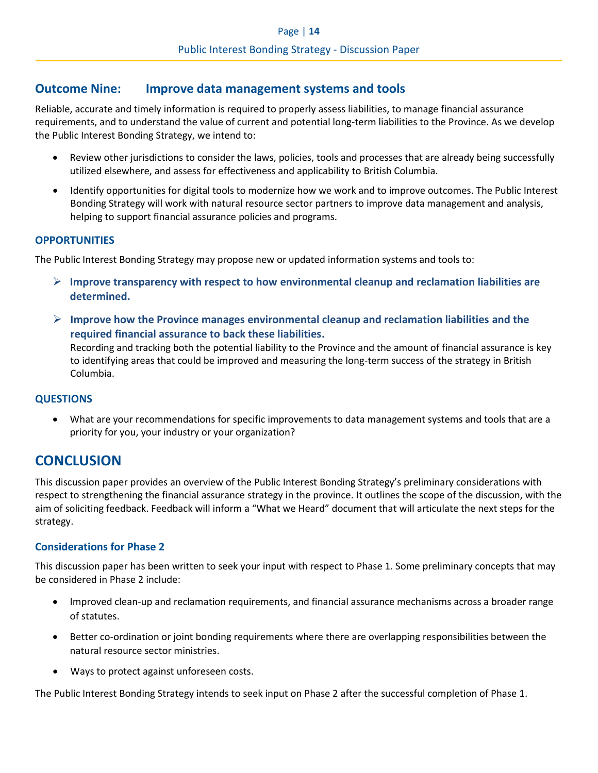### **Outcome Nine: Improve data management systems and tools**

Reliable, accurate and timely information is required to properly assess liabilities, to manage financial assurance requirements, and to understand the value of current and potential long-term liabilities to the Province. As we develop the Public Interest Bonding Strategy, we intend to:

- Review other jurisdictions to consider the laws, policies, tools and processes that are already being successfully utilized elsewhere, and assess for effectiveness and applicability to British Columbia.
- Identify opportunities for digital tools to modernize how we work and to improve outcomes. The Public Interest Bonding Strategy will work with natural resource sector partners to improve data management and analysis, helping to support financial assurance policies and programs.

### **OPPORTUNITIES**

The Public Interest Bonding Strategy may propose new or updated information systems and tools to:

- ➢ **Improve transparency with respect to how environmental cleanup and reclamation liabilities are determined.**
- ➢ **Improve how the Province manages environmental cleanup and reclamation liabilities and the required financial assurance to back these liabilities.**

Recording and tracking both the potential liability to the Province and the amount of financial assurance is key to identifying areas that could be improved and measuring the long-term success of the strategy in British Columbia.

### **QUESTIONS**

• What are your recommendations for specific improvements to data management systems and tools that are a priority for you, your industry or your organization?

# **CONCLUSION**

This discussion paper provides an overview of the Public Interest Bonding Strategy's preliminary considerations with respect to strengthening the financial assurance strategy in the province. It outlines the scope of the discussion, with the aim of soliciting feedback. Feedback will inform a "What we Heard" document that will articulate the next steps for the strategy.

### **Considerations for Phase 2**

This discussion paper has been written to seek your input with respect to Phase 1. Some preliminary concepts that may be considered in Phase 2 include:

- Improved clean-up and reclamation requirements, and financial assurance mechanisms across a broader range of statutes.
- Better co-ordination or joint bonding requirements where there are overlapping responsibilities between the natural resource sector ministries.
- Ways to protect against unforeseen costs.

The Public Interest Bonding Strategy intends to seek input on Phase 2 after the successful completion of Phase 1.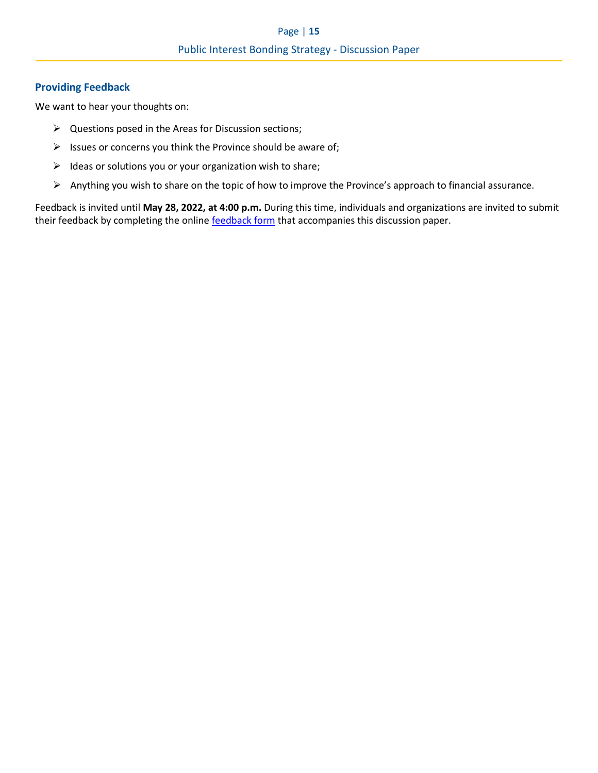### **Providing Feedback**

We want to hear your thoughts on:

- ➢ Questions posed in the Areas for Discussion sections;
- $\triangleright$  Issues or concerns you think the Province should be aware of;
- ➢ Ideas or solutions you or your organization wish to share;
- ➢ Anything you wish to share on the topic of how to improve the Province's approach to financial assurance.

Feedback is invited until **May 28, 2022, at 4:00 p.m.** During this time, individuals and organizations are invited to submit their feedback by completing the online [feedback form](https://feedback.engage.gov.bc.ca/321139?lang=en) that accompanies this discussion paper.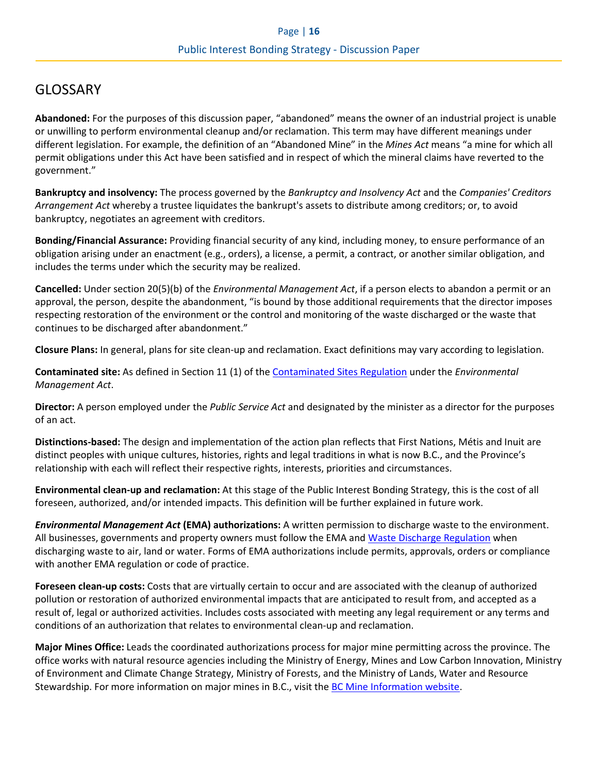# GLOSSARY

**Abandoned:** For the purposes of this discussion paper, "abandoned" means the owner of an industrial project is unable or unwilling to perform environmental cleanup and/or reclamation. This term may have different meanings under different legislation. For example, the definition of an "Abandoned Mine" in the *Mines Act* means "a mine for which all permit obligations under this Act have been satisfied and in respect of which the mineral claims have reverted to the government."

**Bankruptcy and insolvency:** The process governed by the *Bankruptcy and Insolvency Act* and the *Companies' Creditors Arrangement Act* whereby a trustee liquidates the bankrupt's assets to distribute among creditors; or, to avoid bankruptcy, negotiates an agreement with creditors.

**Bonding/Financial Assurance:** Providing financial security of any kind, including money, to ensure performance of an obligation arising under an enactment (e.g., orders), a license, a permit, a contract, or another similar obligation, and includes the terms under which the security may be realized.

**Cancelled:** Under section 20(5)(b) of the *Environmental Management Act*, if a person elects to abandon a permit or an approval, the person, despite the abandonment, "is bound by those additional requirements that the director imposes respecting restoration of the environment or the control and monitoring of the waste discharged or the waste that continues to be discharged after abandonment."

**Closure Plans:** In general, plans for site clean-up and reclamation. Exact definitions may vary according to legislation.

**Contaminated site:** As defined in Section 11 (1) of the [Contaminated Sites Regulation](https://www.bclaws.gov.bc.ca/civix/document/id/complete/statreg/375_96_01#section11) under the *Environmental Management Act*.

**Director:** A person employed under the *Public Service Act* and designated by the minister as a director for the purposes of an act.

**Distinctions-based:** The design and implementation of the action plan reflects that First Nations, Métis and Inuit are distinct peoples with unique cultures, histories, rights and legal traditions in what is now B.C., and the Province's relationship with each will reflect their respective rights, interests, priorities and circumstances.

**Environmental clean-up and reclamation:** At this stage of the Public Interest Bonding Strategy, this is the cost of all foreseen, authorized, and/or intended impacts. This definition will be further explained in future work.

*Environmental Management Act* **(EMA) authorizations:** A written permission to discharge waste to the environment. All businesses, governments and property owners must follow the EMA and [Waste Discharge Regulation](https://www.bclaws.gov.bc.ca/civix/document/id/complete/statreg/320_2004) when discharging waste to air, land or water. Forms of EMA authorizations include permits, approvals, orders or compliance with another EMA regulation or code of practice.

**Foreseen clean-up costs:** Costs that are virtually certain to occur and are associated with the cleanup of authorized pollution or restoration of authorized environmental impacts that are anticipated to result from, and accepted as a result of, legal or authorized activities. Includes costs associated with meeting any legal requirement or any terms and conditions of an authorization that relates to environmental clean-up and reclamation.

**Major Mines Office:** Leads the coordinated authorizations process for major mine permitting across the province. The office works with natural resource agencies including the Ministry of Energy, Mines and Low Carbon Innovation, Ministry of Environment and Climate Change Strategy, Ministry of Forests, and the Ministry of Lands, Water and Resource Stewardship. For more information on major mines in B.C., visit the [BC Mine Information website.](https://mines.nrs.gov.bc.ca/)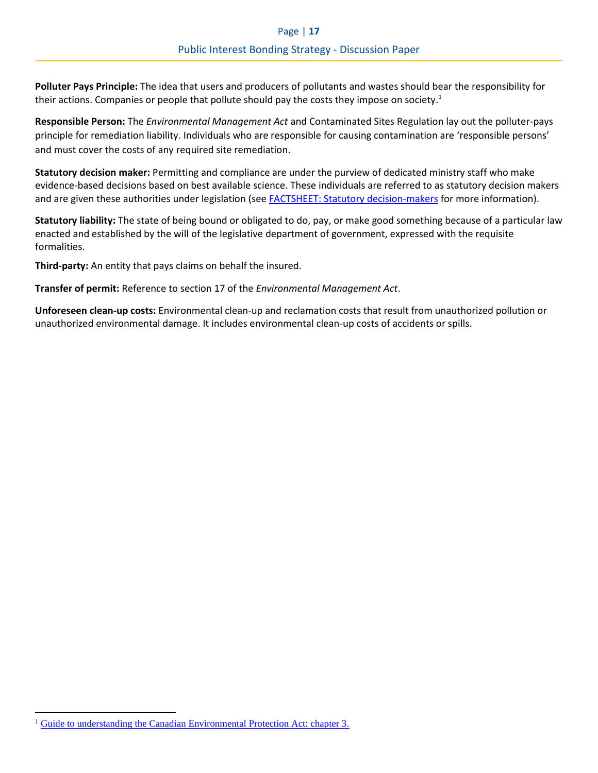**Polluter Pays Principle:** The idea that users and producers of pollutants and wastes should bear the responsibility for their actions. Companies or people that pollute should pay the costs they impose on society.<sup>1</sup>

**Responsible Person:** The *Environmental Management Act* and Contaminated Sites Regulation lay out the polluter-pays principle for remediation liability. Individuals who are responsible for causing contamination are 'responsible persons' and must cover the costs of any required site remediation.

**Statutory decision maker:** Permitting and compliance are under the purview of dedicated ministry staff who make evidence-based decisions based on best available science. These individuals are referred to as statutory decision makers and are given these authorities under legislation (se[e FACTSHEET: Statutory decision-makers](https://news.gov.bc.ca/factsheets/statutory-decision-makers) for more information).

**Statutory liability:** The state of being bound or obligated to do, pay, or make good something because of a particular law enacted and established by the will of the legislative department of government, expressed with the requisite formalities.

**Third-party:** An entity that pays claims on behalf the insured.

**Transfer of permit:** Reference to section 17 of the *Environmental Management Act*.

**Unforeseen clean-up costs:** Environmental clean-up and reclamation costs that result from unauthorized pollution or unauthorized environmental damage. It includes environmental clean-up costs of accidents or spills.

<sup>&</sup>lt;sup>1</sup> [Guide to understanding the Canadian Environmental Protection Act: chapter 3.](https://www.canada.ca/en/environment-climate-change/services/canadian-environmental-protection-act-registry/publications/guide-to-understanding/chapter-3.html)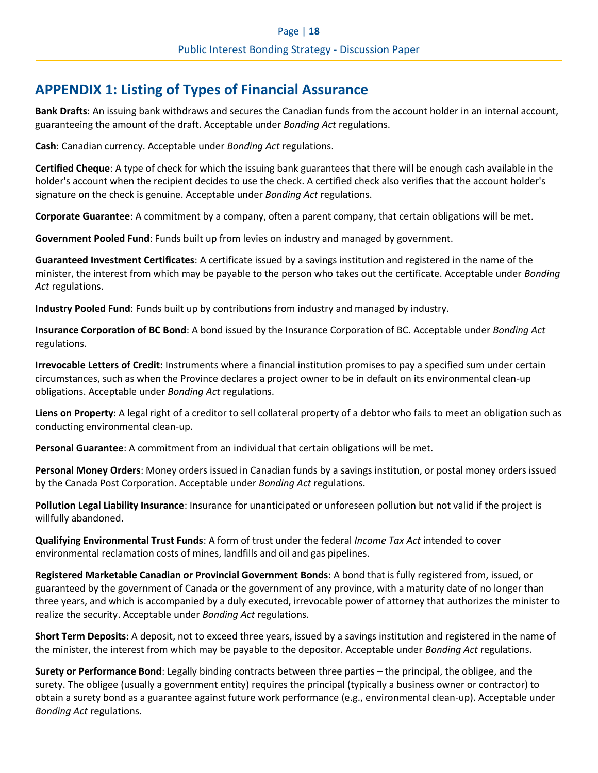# <span id="page-17-0"></span>**APPENDIX 1: Listing of Types of Financial Assurance**

**Bank Drafts**: An issuing bank withdraws and secures the Canadian funds from the account holder in an internal account, guaranteeing the amount of the draft. Acceptable under *Bonding Act* regulations.

**Cash**: Canadian currency. Acceptable under *Bonding Act* regulations.

**Certified Cheque**: A type of check for which the issuing bank guarantees that there will be enough cash available in the holder's account when the recipient decides to use the check. A certified check also verifies that the account holder's signature on the check is genuine. Acceptable under *Bonding Act* regulations.

**Corporate Guarantee**: A commitment by a company, often a parent company, that certain obligations will be met.

**Government Pooled Fund**: Funds built up from levies on industry and managed by government.

**Guaranteed Investment Certificates**: A certificate issued by a savings institution and registered in the name of the minister, the interest from which may be payable to the person who takes out the certificate. Acceptable under *Bonding Act* regulations.

**Industry Pooled Fund**: Funds built up by contributions from industry and managed by industry.

**Insurance Corporation of BC Bond**: A bond issued by the Insurance Corporation of BC. Acceptable under *Bonding Act* regulations.

**Irrevocable Letters of Credit:** Instruments where a financial institution promises to pay a specified sum under certain circumstances, such as when the Province declares a project owner to be in default on its environmental clean-up obligations. Acceptable under *Bonding Act* regulations.

**Liens on Property**: A legal right of a creditor to sell collateral property of a debtor who fails to meet an obligation such as conducting environmental clean-up.

**Personal Guarantee**: A commitment from an individual that certain obligations will be met.

**Personal Money Orders**: Money orders issued in Canadian funds by a savings institution, or postal money orders issued by the Canada Post Corporation. Acceptable under *Bonding Act* regulations.

**Pollution Legal Liability Insurance**: Insurance for unanticipated or unforeseen pollution but not valid if the project is willfully abandoned.

**Qualifying Environmental Trust Funds**: A form of trust under the federal *Income Tax Act* intended to cover environmental reclamation costs of mines, landfills and oil and gas pipelines.

**Registered Marketable Canadian or Provincial Government Bonds**: A bond that is fully registered from, issued, or guaranteed by the government of Canada or the government of any province, with a maturity date of no longer than three years, and which is accompanied by a duly executed, irrevocable power of attorney that authorizes the minister to realize the security. Acceptable under *Bonding Act* regulations.

**Short Term Deposits**: A deposit, not to exceed three years, issued by a savings institution and registered in the name of the minister, the interest from which may be payable to the depositor. Acceptable under *Bonding Act* regulations.

**Surety or Performance Bond**: Legally binding contracts between three parties – the principal, the obligee, and the surety. The obligee (usually a government entity) requires the principal (typically a business owner or contractor) to obtain a surety bond as a guarantee against future work performance (e.g., environmental clean-up). Acceptable under *Bonding Act* regulations.